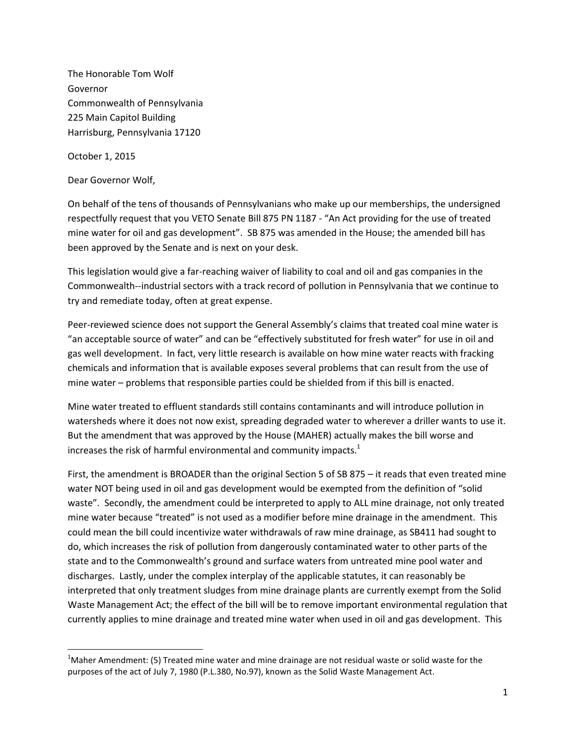The Honorable Tom Wolf Governor Commonwealth of Pennsylvania 225 Main Capitol Building Harrisburg, Pennsylvania 17120

October 1, 2015

l

Dear Governor Wolf,

On behalf of the tens of thousands of Pennsylvanians who make up our memberships, the undersigned respectfully request that you VETO Senate Bill 875 PN 1187 - "An Act providing for the use of treated mine water for oil and gas development". SB 875 was amended in the House; the amended bill has been approved by the Senate and is next on your desk.

This legislation would give a far-reaching waiver of liability to coal and oil and gas companies in the Commonwealth--industrial sectors with a track record of pollution in Pennsylvania that we continue to try and remediate today, often at great expense.

Peer-reviewed science does not support the General Assembly's claims that treated coal mine water is "an acceptable source of water" and can be "effectively substituted for fresh water" for use in oil and gas well development. In fact, very little research is available on how mine water reacts with fracking chemicals and information that is available exposes several problems that can result from the use of mine water – problems that responsible parties could be shielded from if this bill is enacted.

Mine water treated to effluent standards still contains contaminants and will introduce pollution in watersheds where it does not now exist, spreading degraded water to wherever a driller wants to use it. But the amendment that was approved by the House (MAHER) actually makes the bill worse and increases the risk of harmful environmental and community impacts.<sup>1</sup>

First, the amendment is BROADER than the original Section 5 of SB 875 – it reads that even treated mine water NOT being used in oil and gas development would be exempted from the definition of "solid waste". Secondly, the amendment could be interpreted to apply to ALL mine drainage, not only treated mine water because "treated" is not used as a modifier before mine drainage in the amendment. This could mean the bill could incentivize water withdrawals of raw mine drainage, as SB411 had sought to do, which increases the risk of pollution from dangerously contaminated water to other parts of the state and to the Commonwealth's ground and surface waters from untreated mine pool water and discharges. Lastly, under the complex interplay of the applicable statutes, it can reasonably be interpreted that only treatment sludges from mine drainage plants are currently exempt from the Solid Waste Management Act; the effect of the bill will be to remove important environmental regulation that currently applies to mine drainage and treated mine water when used in oil and gas development. This

 $1$ Maher Amendment: (5) Treated mine water and mine drainage are not residual waste or solid waste for the purposes of the act of July 7, 1980 (P.L.380, No.97), known as the Solid Waste Management Act.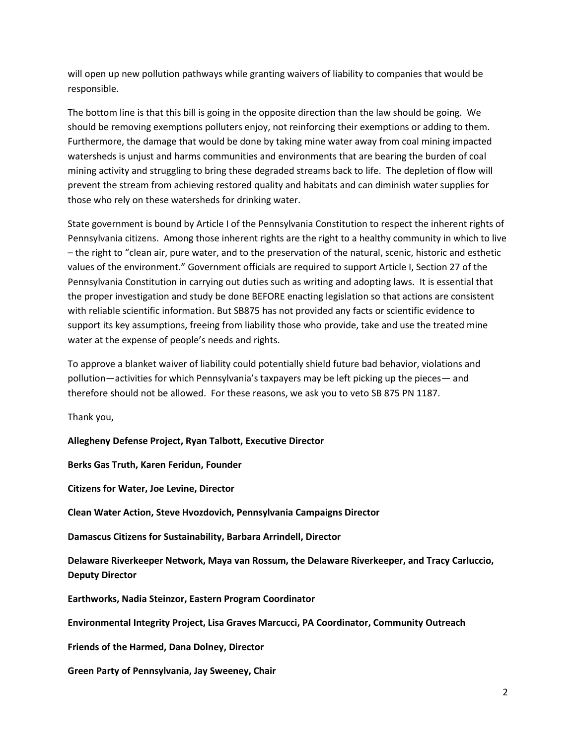will open up new pollution pathways while granting waivers of liability to companies that would be responsible.

The bottom line is that this bill is going in the opposite direction than the law should be going. We should be removing exemptions polluters enjoy, not reinforcing their exemptions or adding to them. Furthermore, the damage that would be done by taking mine water away from coal mining impacted watersheds is unjust and harms communities and environments that are bearing the burden of coal mining activity and struggling to bring these degraded streams back to life. The depletion of flow will prevent the stream from achieving restored quality and habitats and can diminish water supplies for those who rely on these watersheds for drinking water.

State government is bound by Article I of the Pennsylvania Constitution to respect the inherent rights of Pennsylvania citizens. Among those inherent rights are the right to a healthy community in which to live – the right to "clean air, pure water, and to the preservation of the natural, scenic, historic and esthetic values of the environment." Government officials are required to support Article I, Section 27 of the Pennsylvania Constitution in carrying out duties such as writing and adopting laws. It is essential that the proper investigation and study be done BEFORE enacting legislation so that actions are consistent with reliable scientific information. But SB875 has not provided any facts or scientific evidence to support its key assumptions, freeing from liability those who provide, take and use the treated mine water at the expense of people's needs and rights.

To approve a blanket waiver of liability could potentially shield future bad behavior, violations and pollution—activities for which Pennsylvania's taxpayers may be left picking up the pieces— and therefore should not be allowed. For these reasons, we ask you to veto SB 875 PN 1187.

Thank you,

**Allegheny Defense Project, Ryan Talbott, Executive Director**

**Berks Gas Truth, Karen Feridun, Founder**

**Citizens for Water, Joe Levine, Director**

**Clean Water Action, Steve Hvozdovich, Pennsylvania Campaigns Director**

**Damascus Citizens for Sustainability, Barbara Arrindell, Director**

**Delaware Riverkeeper Network, Maya van Rossum, the Delaware Riverkeeper, and Tracy Carluccio, Deputy Director**

**Earthworks, Nadia Steinzor, Eastern Program Coordinator**

**Environmental Integrity Project, Lisa Graves Marcucci, PA Coordinator, Community Outreach**

**Friends of the Harmed, Dana Dolney, Director**

**Green Party of Pennsylvania, Jay Sweeney, Chair**